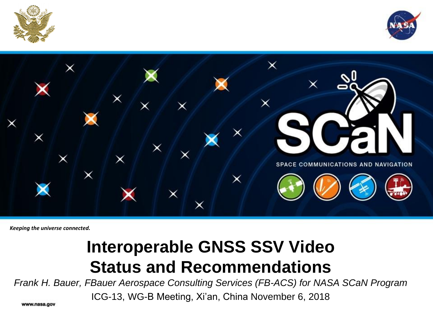





*Keeping the universe connected.* 

#### **Interoperable GNSS SSV Video Status and Recommendations**

*Frank H. Bauer, FBauer Aerospace Consulting Services (FB-ACS) for NASA SCaN Program*

ICG-13, WG-B Meeting, Xi'an, China November 6, 2018

www.nasa.gov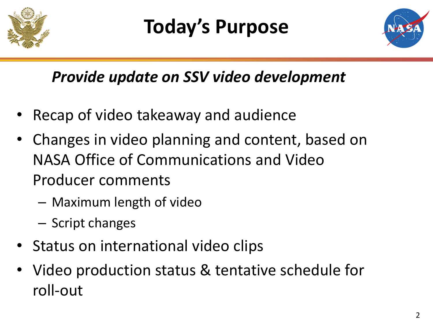

## **Today's Purpose**



#### *Provide update on SSV video development*

- Recap of video takeaway and audience
- Changes in video planning and content, based on NASA Office of Communications and Video Producer comments
	- Maximum length of video
	- Script changes
- Status on international video clips
- Video production status & tentative schedule for roll-out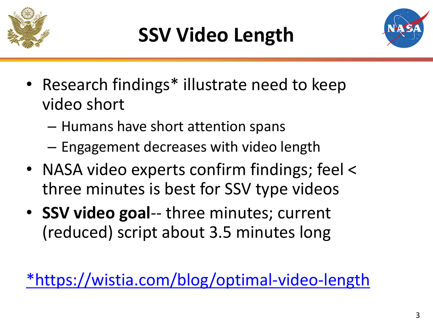



- Research findings\* illustrate need to keep video short
	- Humans have short attention spans
	- Engagement decreases with video length
- NASA video experts confirm findings; feel < three minutes is best for SSV type videos
- **SSV video goal**-- three minutes; current (reduced) script about 3.5 minutes long

[\\*https://wistia.com/blog/optimal-video-length](https://wistia.com/blog/optimal-video-length)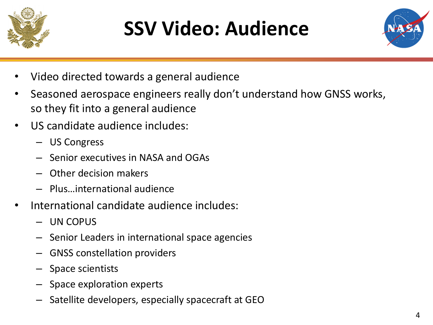

## **SSV Video: Audience**



- Video directed towards a general audience
- Seasoned aerospace engineers really don't understand how GNSS works, so they fit into a general audience
- US candidate audience includes:
	- US Congress
	- Senior executives in NASA and OGAs
	- Other decision makers
	- Plus…international audience
- International candidate audience includes:
	- UN COPUS
	- Senior Leaders in international space agencies
	- GNSS constellation providers
	- Space scientists
	- Space exploration experts
	- Satellite developers, especially spacecraft at GEO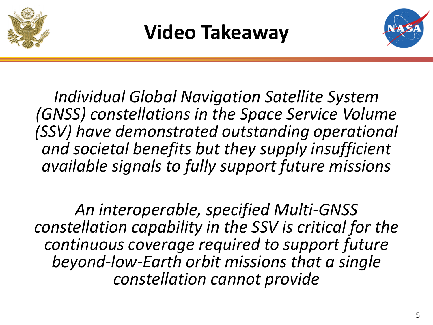





*Individual Global Navigation Satellite System (GNSS) constellations in the Space Service Volume (SSV) have demonstrated outstanding operational and societal benefits but they supply insufficient available signals to fully support future missions* 

*An interoperable, specified Multi-GNSS constellation capability in the SSV is critical for the continuous coverage required to support future beyond-low-Earth orbit missions that a single constellation cannot provide*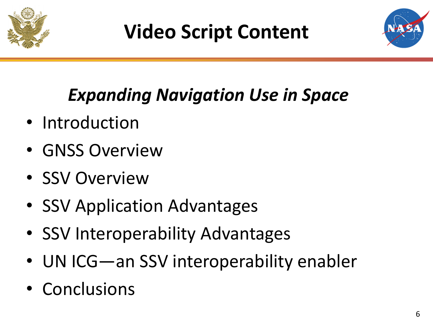

## **Video Script Content**



### *Expanding Navigation Use in Space*

- Introduction
- GNSS Overview
- SSV Overview
- SSV Application Advantages
- SSV Interoperability Advantages
- UN ICG—an SSV interoperability enabler
- Conclusions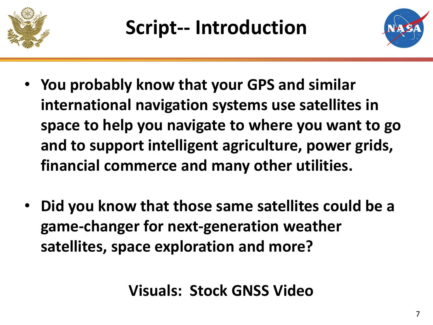



- **You probably know that your GPS and similar international navigation systems use satellites in space to help you navigate to where you want to go and to support intelligent agriculture, power grids, financial commerce and many other utilities.**
- **Did you know that those same satellites could be a game-changer for next-generation weather satellites, space exploration and more?**

**Visuals: Stock GNSS Video**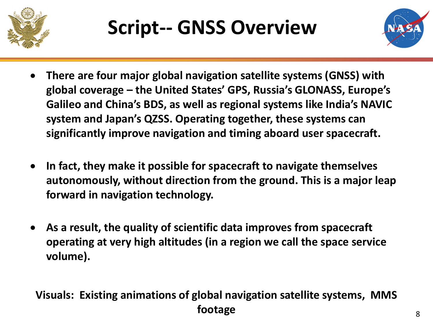

## **Script-- GNSS Overview**



- **There are four major global navigation satellite systems (GNSS) with global coverage – the United States' GPS, Russia's GLONASS, Europe's Galileo and China's BDS, as well as regional systems like India's NAVIC system and Japan's QZSS. Operating together, these systems can significantly improve navigation and timing aboard user spacecraft.**
- **In fact, they make it possible for spacecraft to navigate themselves autonomously, without direction from the ground. This is a major leap forward in navigation technology.**
- **As a result, the quality of scientific data improves from spacecraft operating at very high altitudes (in a region we call the space service volume).**

#### **Visuals: Existing animations of global navigation satellite systems, MMS footage**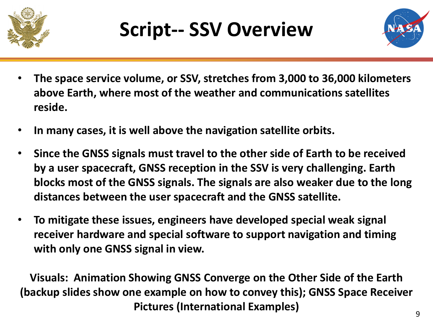



- **The space service volume, or SSV, stretches from 3,000 to 36,000 kilometers above Earth, where most of the weather and communications satellites reside.**
- **In many cases, it is well above the navigation satellite orbits.**
- **Since the GNSS signals must travel to the other side of Earth to be received by a user spacecraft, GNSS reception in the SSV is very challenging. Earth blocks most of the GNSS signals. The signals are also weaker due to the long distances between the user spacecraft and the GNSS satellite.**
- **To mitigate these issues, engineers have developed special weak signal receiver hardware and special software to support navigation and timing with only one GNSS signal in view.**

**Visuals: Animation Showing GNSS Converge on the Other Side of the Earth (backup slides show one example on how to convey this); GNSS Space Receiver Pictures (International Examples)**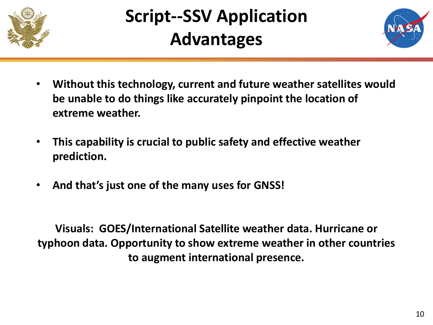

#### **Script--SSV Application Advantages**



- **Without this technology, current and future weather satellites would be unable to do things like accurately pinpoint the location of extreme weather.**
- **This capability is crucial to public safety and effective weather prediction.**
- **And that's just one of the many uses for GNSS!**

**Visuals: GOES/International Satellite weather data. Hurricane or typhoon data. Opportunity to show extreme weather in other countries to augment international presence.**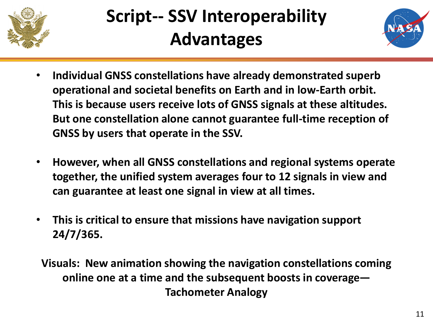

#### **Script-- SSV Interoperability Advantages**



- **Individual GNSS constellations have already demonstrated superb operational and societal benefits on Earth and in low-Earth orbit. This is because users receive lots of GNSS signals at these altitudes. But one constellation alone cannot guarantee full-time reception of GNSS by users that operate in the SSV.**
- **However, when all GNSS constellations and regional systems operate together, the unified system averages four to 12 signals in view and can guarantee at least one signal in view at all times.**
- **This is critical to ensure that missions have navigation support 24/7/365.**

**Visuals: New animation showing the navigation constellations coming online one at a time and the subsequent boosts in coverage— Tachometer Analogy**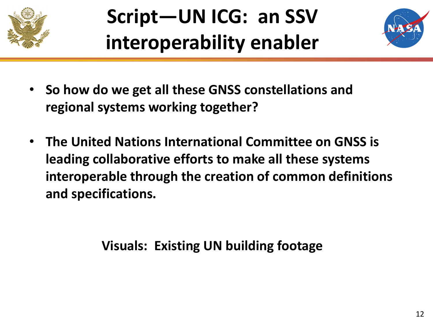

## **Script—UN ICG: an SSV interoperability enabler**



- **So how do we get all these GNSS constellations and regional systems working together?**
- **The United Nations International Committee on GNSS is leading collaborative efforts to make all these systems interoperable through the creation of common definitions and specifications.**

**Visuals: Existing UN building footage**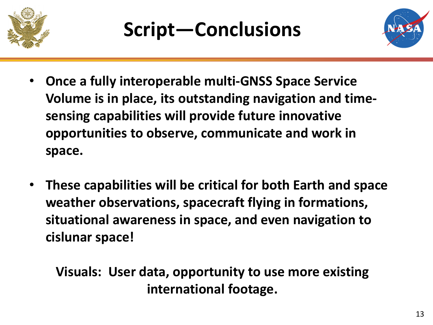



- **Once a fully interoperable multi-GNSS Space Service Volume is in place, its outstanding navigation and timesensing capabilities will provide future innovative opportunities to observe, communicate and work in space.**
- **These capabilities will be critical for both Earth and space weather observations, spacecraft flying in formations, situational awareness in space, and even navigation to cislunar space!**

**Visuals: User data, opportunity to use more existing international footage.**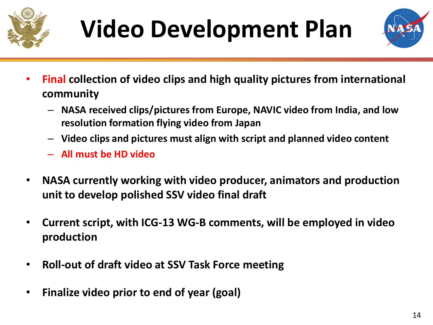

# **Video Development Plan**



- **Final collection of video clips and high quality pictures from international community**
	- **NASA received clips/pictures from Europe, NAVIC video from India, and low resolution formation flying video from Japan**
	- **Video clips and pictures must align with script and planned video content**
	- **All must be HD video**
- **NASA currently working with video producer, animators and production unit to develop polished SSV video final draft**
- **Current script, with ICG-13 WG-B comments, will be employed in video production**
- **Roll-out of draft video at SSV Task Force meeting**
- **Finalize video prior to end of year (goal)**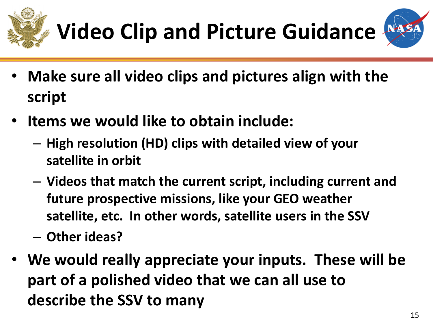





- **Make sure all video clips and pictures align with the script**
- **Items we would like to obtain include:**
	- **High resolution (HD) clips with detailed view of your satellite in orbit**
	- **Videos that match the current script, including current and future prospective missions, like your GEO weather satellite, etc. In other words, satellite users in the SSV**
	- **Other ideas?**
- **We would really appreciate your inputs. These will be part of a polished video that we can all use to describe the SSV to many**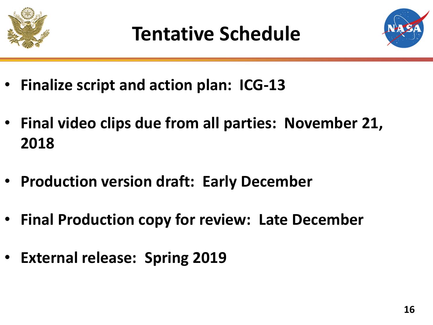



- **Finalize script and action plan: ICG-13**
- **Final video clips due from all parties: November 21, 2018**
- **Production version draft: Early December**
- **Final Production copy for review: Late December**
- **External release: Spring 2019**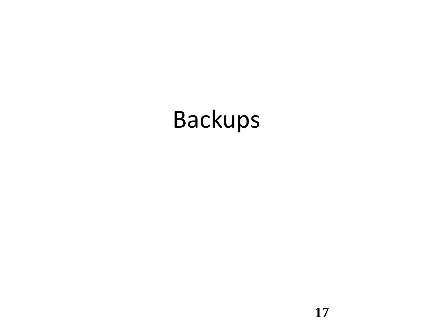## Backups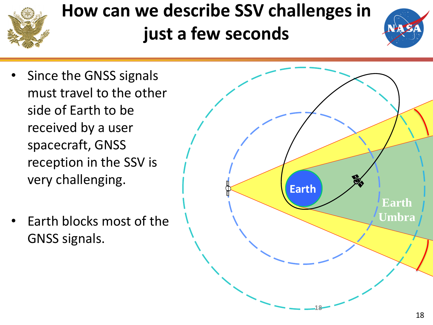

#### **How can we describe SSV challenges in just a few seconds**



- Since the GNSS signals must travel to the other side of Earth to be received by a user spacecraft, GNSS reception in the SSV is very challenging.
- Earth blocks most of the GNSS signals.

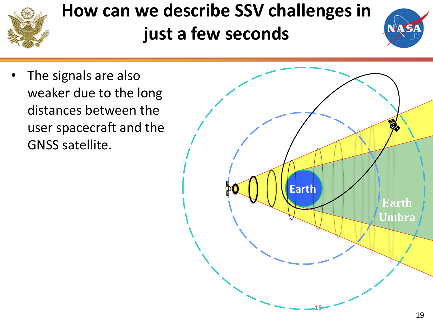

#### **How can we describe SSV challenges in just a few seconds**



The signals are also weaker due to the long distances between the user spacecraft and the GNSS satellite.